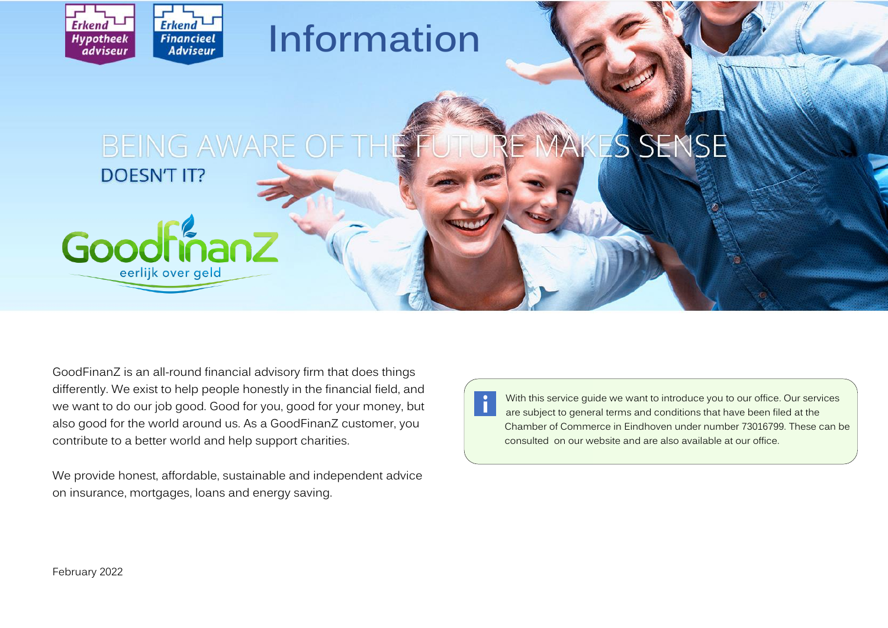

Goodfinanz

eerlijk over geld

# **Information**

## BEING AWARE OF THE SEN  $\mathcal{S}% _{M_{1},M_{2}}^{\prime }\left( t\right)$ **DOESN'T IT?**

GoodFinanZ is an all-round financial advisory firm that does things differently. We exist to help people honestly in the financial field, and we want to do our job good. Good for you, good for your money, but also good for the world around us. As a GoodFinanZ customer, you contribute to a better world and help support charities.

We provide honest, affordable, sustainable and independent advice on insurance, mortgages, loans and energy saving.

With this service guide we want to introduce you to our office. Our services are subject to general terms and conditions that have been filed at the Chamber of Commerce in Eindhoven under number 73016799. These can be consulted on our website and are also available at our office.

February 2022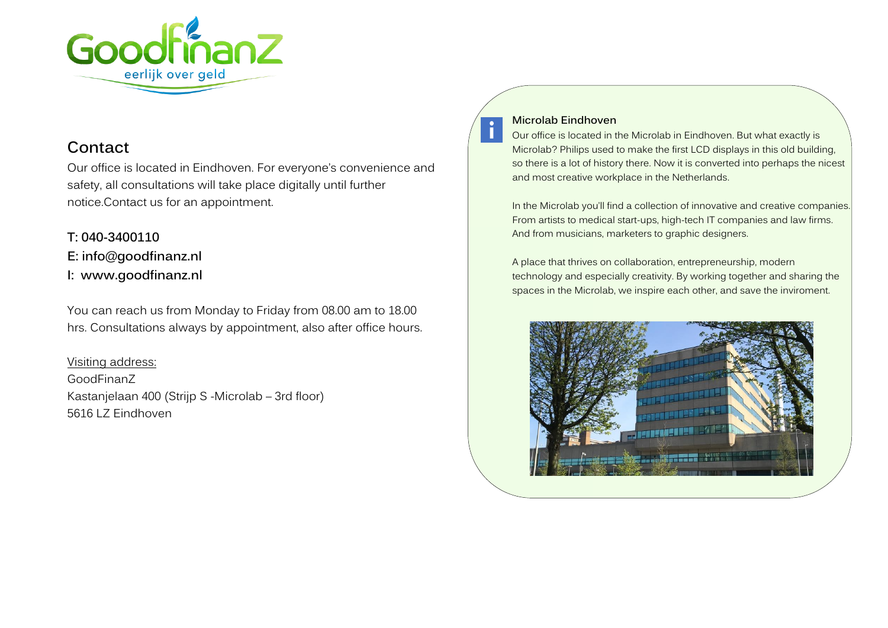

## **Contact**

Our office is located in Eindhoven. For everyone's convenience and safety, all consultations will take place digitally until further notice.Contact us for an appointment.

**T: 040-3400110 E: info@goodfinanz.nl I: [www.goodfinanz.nl](http://www.goodfinanz.nl/)**

You can reach us from Monday to Friday from 08.00 am to 18.00 hrs. Consultations always by appointment, also after office hours.

Visiting address: GoodFinanZ Kastanjelaan 400 (Strijp S -Microlab – 3rd floor) 5616 LZ Eindhoven

#### **Microlab Eindhoven**

Our office is located in the Microlab in Eindhoven. But what exactly is Microlab? Philips used to make the first LCD displays in this old building, so there is a lot of history there. Now it is converted into perhaps the nicest and most creative workplace in the Netherlands.

In the Microlab you'll find a collection of innovative and creative companies. From artists to medical start-ups, high-tech IT companies and law firms. And from musicians, marketers to graphic designers.

A place that thrives on collaboration, entrepreneurship, modern technology and especially creativity. By working together and sharing the spaces in the Microlab, we inspire each other, and save the inviroment.

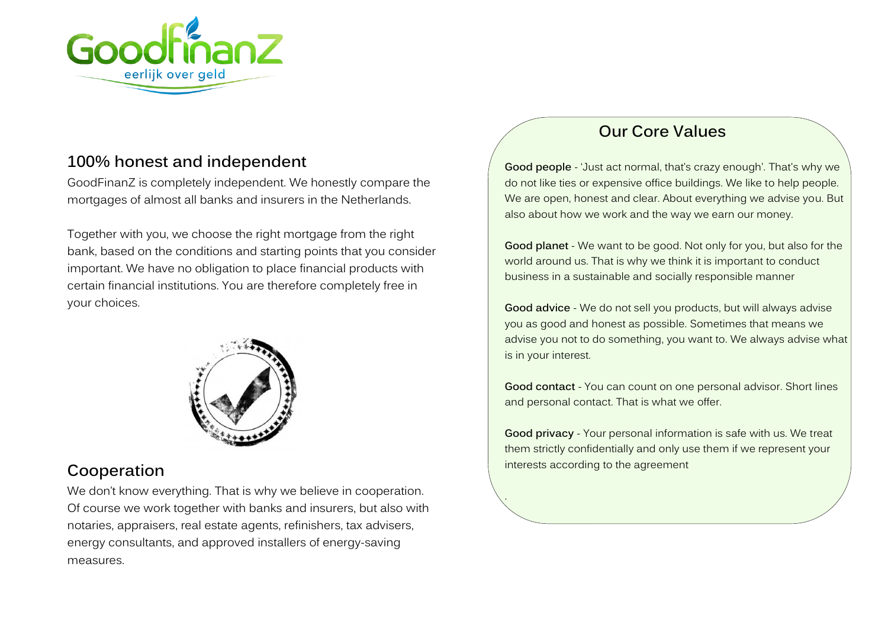

# **100% honest and independent**

GoodFinanZ is completely independent. We honestly compare the mortgages of almost all banks and insurers in the Netherlands.

Together with you, we choose the right mortgage from the right bank, based on the conditions and starting points that you consider important. We have no obligation to place financial products with certain financial institutions. You are therefore completely free in your choices.



# **Cooperation**

We don't know everything. That is why we believe in cooperation. Of course we work together with banks and insurers, but also with notaries, appraisers, real estate agents, refinishers, tax advisers, energy consultants, and approved installers of energy-saving measures.

# **Our Core Values**

**Good people** - 'Just act normal, that's crazy enough'. That's why we do not like ties or expensive office buildings. We like to help people. We are open, honest and clear. About everything we advise you. But also about how we work and the way we earn our money.

**Good planet** - We want to be good. Not only for you, but also for the world around us. That is why we think it is important to conduct business in a sustainable and socially responsible manner

**Good advice** - We do not sell you products, but will always advise you as good and honest as possible. Sometimes that means we advise you not to do something, you want to. We always advise what is in your interest.

**Good contact** - You can count on one personal advisor. Short lines and personal contact. That is what we offer.

**Good privacy** - Your personal information is safe with us. We treat them strictly confidentially and only use them if we represent your interests according to the agreement

.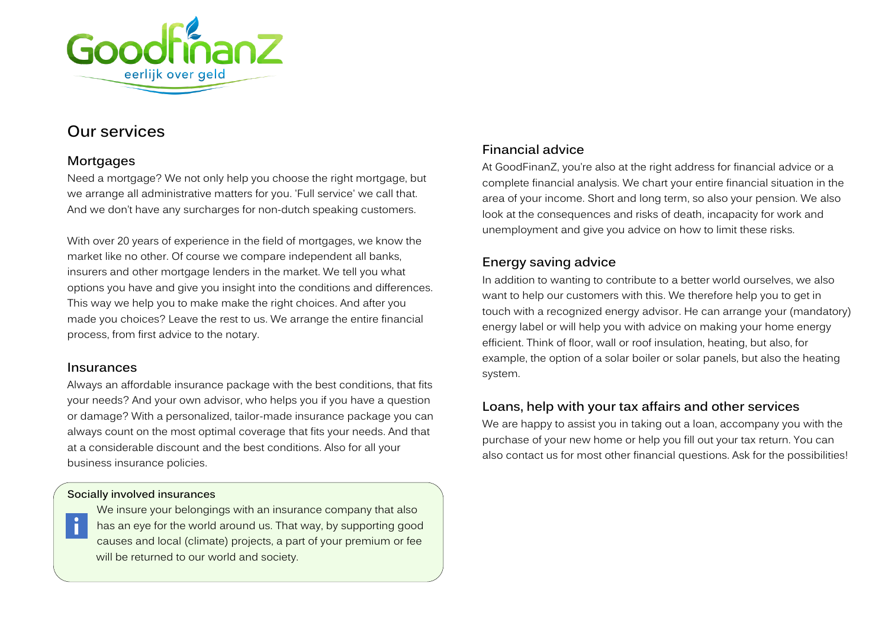

# **Our services**

## **Mortgages**

Need a mortgage? We not only help you choose the right mortgage, but we arrange all administrative matters for you. 'Full service' we call that. And we don't have any surcharges for non-dutch speaking customers.

With over 20 years of experience in the field of mortgages, we know the market like no other. Of course we compare independent all banks, insurers and other mortgage lenders in the market. We tell you what options you have and give you insight into the conditions and differences. This way we help you to make make the right choices. And after you made you choices? Leave the rest to us. We arrange the entire financial process, from first advice to the notary.

## **Insurances**

 $\mathbf i$ 

Always an affordable insurance package with the best conditions, that fits your needs? And your own advisor, who helps you if you have a question or damage? With a personalized, tailor-made insurance package you can always count on the most optimal coverage that fits your needs. And that at a considerable discount and the best conditions. Also for all your business insurance policies.

## **Socially involved insurances**

We insure your belongings with an insurance company that also has an eye for the world around us. That way, by supporting good causes and local (climate) projects, a part of your premium or fee will be returned to our world and society.

## **Financial advice**

At GoodFinanZ, you're also at the right address for financial advice or a complete financial analysis. We chart your entire financial situation in the area of your income. Short and long term, so also your pension. We also look at the consequences and risks of death, incapacity for work and unemployment and give you advice on how to limit these risks.

## **Energy saving advice**

In addition to wanting to contribute to a better world ourselves, we also want to help our customers with this. We therefore help you to get in touch with a recognized energy advisor. He can arrange your (mandatory) energy label or will help you with advice on making your home energy efficient. Think of floor, wall or roof insulation, heating, but also, for example, the option of a solar boiler or solar panels, but also the heating system.

## **Loans, help with your tax affairs and other services**

We are happy to assist you in taking out a loan, accompany you with the purchase of your new home or help you fill out your tax return. You can also contact us for most other financial questions. Ask for the possibilities!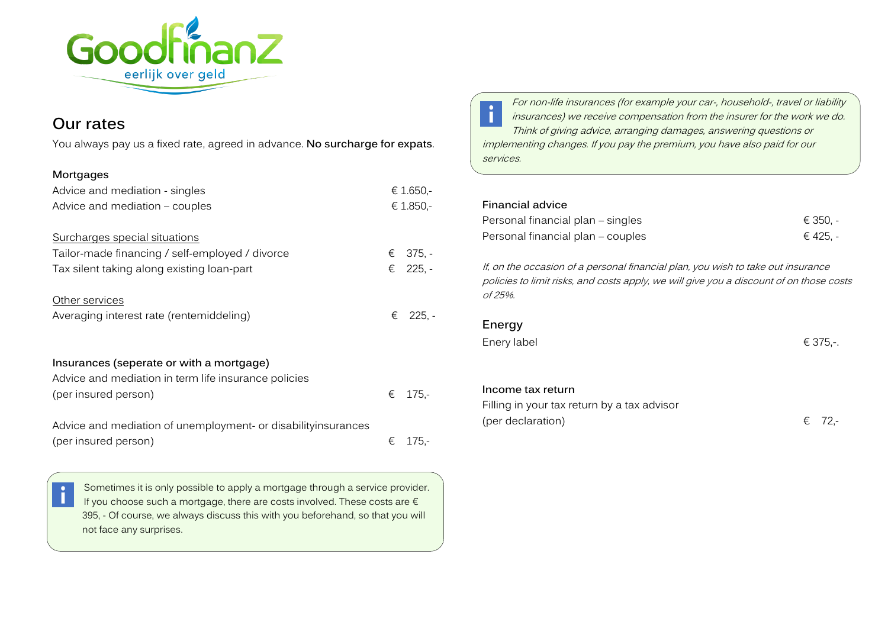

## **Our rates**

You always pay us a fixed rate, agreed in advance. **No surcharge for expats**.

#### **Mortgages**

| Advice and mediation - singles                                                                   | € 1.650,- |          |
|--------------------------------------------------------------------------------------------------|-----------|----------|
| Advice and mediation – couples                                                                   | € 1.850,- |          |
| Surcharges special situations                                                                    |           |          |
| Tailor-made financing / self-employed / divorce                                                  | €         | $375, -$ |
| Tax silent taking along existing loan-part                                                       |           | € 225, - |
| Other services                                                                                   |           |          |
| Averaging interest rate (rentemiddeling)                                                         |           | € 225, - |
| Insurances (seperate or with a mortgage)<br>Advice and mediation in term life insurance policies |           |          |
| (per insured person)                                                                             | €         | $175 -$  |
| Advice and mediation of unemployment- or disabilityinsurances<br>(per insured person)            | €         | $175 -$  |



Sometimes it is only possible to apply a mortgage through a service provider. If you choose such a mortgage, there are costs involved. These costs are  $\epsilon$ 395, - Of course, we always discuss this with you beforehand, so that you will not face any surprises.

For non-life insurances (for example your car-, household-, travel or liability  $\mathbf{i}$ insurances) we receive compensation from the insurer for the work we do. Think of giving advice, arranging damages, answering questions or implementing changes. If you pay the premium, you have also paid for our services.

| <b>Financial advice</b>                                                                                                                                                                |          |  |  |
|----------------------------------------------------------------------------------------------------------------------------------------------------------------------------------------|----------|--|--|
| Personal financial plan – singles                                                                                                                                                      | € 350. - |  |  |
| Personal financial plan – couples                                                                                                                                                      | € 425, - |  |  |
| If, on the occasion of a personal financial plan, you wish to take out insurance<br>policies to limit risks, and costs apply, we will give you a discount of on those costs<br>of 25%. |          |  |  |
| Energy                                                                                                                                                                                 |          |  |  |
| Enery label                                                                                                                                                                            | € 375,-. |  |  |
|                                                                                                                                                                                        |          |  |  |
| Income tax return                                                                                                                                                                      |          |  |  |
| Filling in your tax return by a tax advisor                                                                                                                                            |          |  |  |

(per declaration)  $\epsilon$  72,-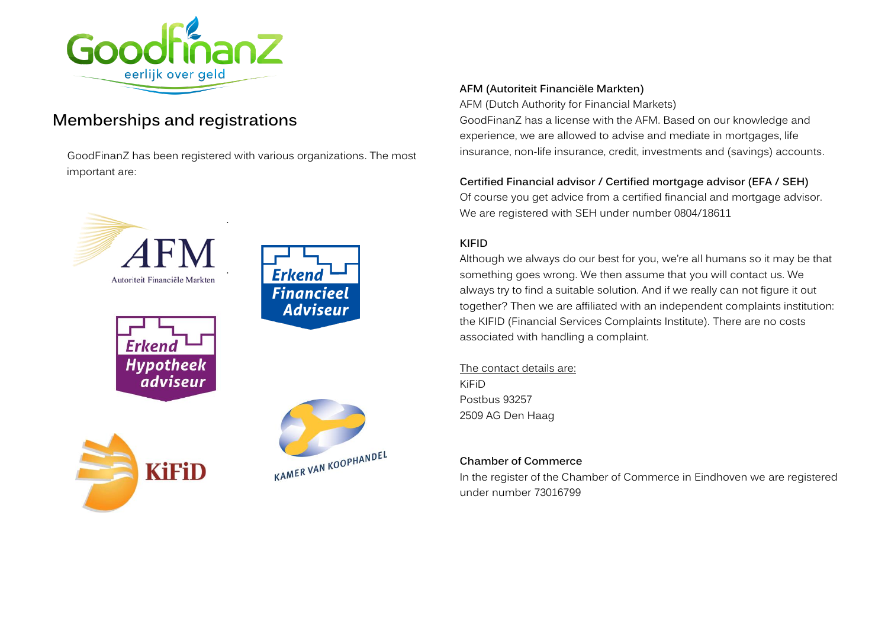

# **Memberships and registrations**

GoodFinanZ has been registered with various organizations. The most important are:



#### **AFM (Autoriteit Financiële Markten)**

AFM (Dutch Authority for Financial Markets) GoodFinanZ has a license with the AFM. Based on our knowledge and experience, we are allowed to advise and mediate in mortgages, life insurance, non-life insurance, credit, investments and (savings) accounts.

### **Certified Financial advisor / Certified mortgage advisor (EFA / SEH)**

Of course you get advice from a certified financial and mortgage advisor. We are registered with SEH under number 0804/18611

#### **KIFID**

Although we always do our best for you, we're all humans so it may be that something goes wrong. We then assume that you will contact us. We always try to find a suitable solution. And if we really can not figure it out together? Then we are affiliated with an independent complaints institution: the KIFID (Financial Services Complaints Institute). There are no costs associated with handling a complaint.

The contact details are: KiFiD Postbus 93257 2509 AG Den Haag

#### **Chamber of Commerce**

In the register of the Chamber of Commerce in Eindhoven we are registered under number 73016799